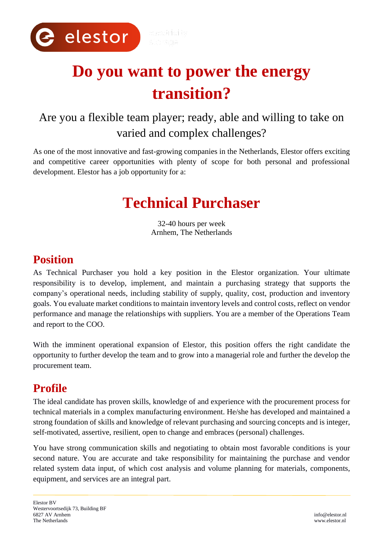

# **Do you want to power the energy transition?**

# Are you a flexible team player; ready, able and willing to take on varied and complex challenges?

As one of the most innovative and fast-growing companies in the Netherlands, Elestor offers exciting and competitive career opportunities with plenty of scope for both personal and professional development. Elestor has a job opportunity for a:

# **Technical Purchaser**

32-40 hours per week Arnhem, The Netherlands

# **Position**

As Technical Purchaser you hold a key position in the Elestor organization. Your ultimate responsibility is to develop, implement, and maintain a purchasing strategy that supports the company's operational needs, including stability of supply, quality, cost, production and inventory goals. You evaluate market conditions to maintain inventory levels and control costs, reflect on vendor performance and manage the relationships with suppliers. You are a member of the Operations Team and report to the COO.

With the imminent operational expansion of Elestor, this position offers the right candidate the opportunity to further develop the team and to grow into a managerial role and further the develop the procurement team.

# **Profile**

The ideal candidate has proven skills, knowledge of and experience with the procurement process for technical materials in a complex manufacturing environment. He/she has developed and maintained a strong foundation of skills and knowledge of relevant purchasing and sourcing concepts and is integer, self-motivated, assertive, resilient, open to change and embraces (personal) challenges.

You have strong communication skills and negotiating to obtain most favorable conditions is your second nature. You are accurate and take responsibility for maintaining the purchase and vendor related system data input, of which cost analysis and volume planning for materials, components, equipment, and services are an integral part.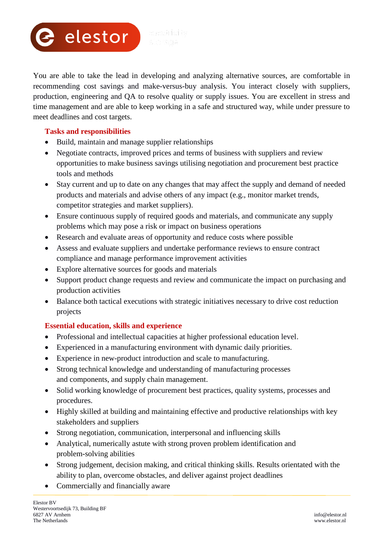

You are able to take the lead in developing and analyzing alternative sources, are comfortable in recommending cost savings and make-versus-buy analysis. You interact closely with suppliers, production, engineering and QA to resolve quality or supply issues. You are excellent in stress and time management and are able to keep working in a safe and structured way, while under pressure to meet deadlines and cost targets.

#### **Tasks and responsibilities**

- Build, maintain and manage supplier relationships
- Negotiate contracts, improved prices and terms of business with suppliers and review opportunities to make business savings utilising negotiation and procurement best practice tools and methods
- Stay current and up to date on any changes that may affect the supply and demand of needed products and materials and advise others of any impact (e.g., monitor market trends, competitor strategies and market suppliers).
- Ensure continuous supply of required goods and materials, and communicate any supply problems which may pose a risk or impact on business operations
- Research and evaluate areas of opportunity and reduce costs where possible
- Assess and evaluate suppliers and undertake performance reviews to ensure contract compliance and manage performance improvement activities
- Explore alternative sources for goods and materials
- Support product change requests and review and communicate the impact on purchasing and production activities
- Balance both tactical executions with strategic initiatives necessary to drive cost reduction projects

#### **Essential education, skills and experience**

- Professional and intellectual capacities at higher professional education level.
- Experienced in a manufacturing environment with dynamic daily priorities.
- Experience in new-product introduction and scale to manufacturing.
- Strong technical knowledge and understanding of manufacturing processes and components, and supply chain management.
- Solid working knowledge of procurement best practices, quality systems, processes and procedures.
- Highly skilled at building and maintaining effective and productive relationships with key stakeholders and suppliers
- Strong negotiation, communication, interpersonal and influencing skills
- Analytical, numerically astute with strong proven problem identification and problem-solving abilities
- Strong judgement, decision making, and critical thinking skills. Results orientated with the ability to plan, overcome obstacles, and deliver against project deadlines
- Commercially and financially aware